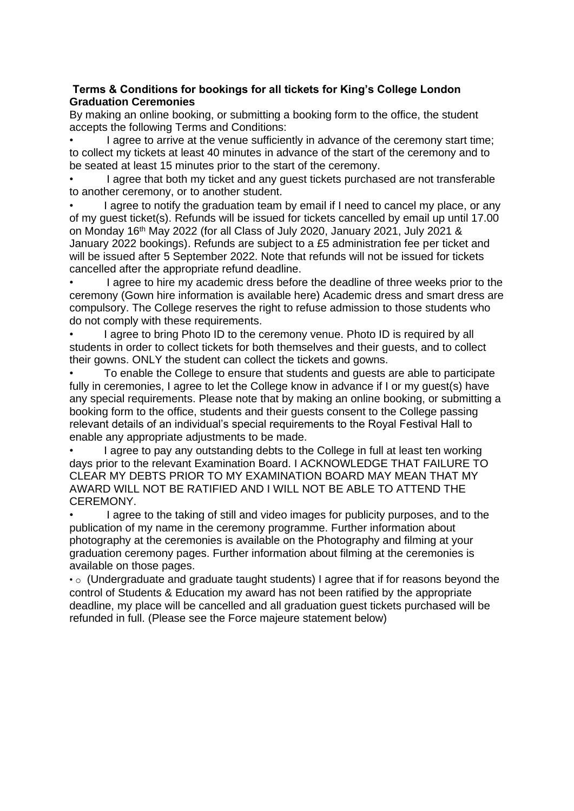#### **Terms & Conditions for bookings for all tickets for King's College London Graduation Ceremonies**

By making an online booking, or submitting a booking form to the office, the student accepts the following Terms and Conditions:

I agree to arrive at the venue sufficiently in advance of the ceremony start time: to collect my tickets at least 40 minutes in advance of the start of the ceremony and to be seated at least 15 minutes prior to the start of the ceremony.

I agree that both my ticket and any quest tickets purchased are not transferable to another ceremony, or to another student.

I agree to notify the graduation team by email if I need to cancel my place, or any of my guest ticket(s). Refunds will be issued for tickets cancelled by email up until 17.00 on Monday 16th May 2022 (for all Class of July 2020, January 2021, July 2021 & January 2022 bookings). Refunds are subject to a £5 administration fee per ticket and will be issued after 5 September 2022. Note that refunds will not be issued for tickets cancelled after the appropriate refund deadline.

I agree to hire my academic dress before the deadline of three weeks prior to the ceremony (Gown hire information is available here) Academic dress and smart dress are compulsory. The College reserves the right to refuse admission to those students who do not comply with these requirements.

I agree to bring Photo ID to the ceremony venue. Photo ID is required by all students in order to collect tickets for both themselves and their guests, and to collect their gowns. ONLY the student can collect the tickets and gowns.

• To enable the College to ensure that students and guests are able to participate fully in ceremonies. I agree to let the College know in advance if I or my quest(s) have any special requirements. Please note that by making an online booking, or submitting a booking form to the office, students and their guests consent to the College passing relevant details of an individual's special requirements to the Royal Festival Hall to enable any appropriate adjustments to be made.

• I agree to pay any outstanding debts to the College in full at least ten working days prior to the relevant Examination Board. I ACKNOWLEDGE THAT FAILURE TO CLEAR MY DEBTS PRIOR TO MY EXAMINATION BOARD MAY MEAN THAT MY AWARD WILL NOT BE RATIFIED AND I WILL NOT BE ABLE TO ATTEND THE CEREMONY.

• I agree to the taking of still and video images for publicity purposes, and to the publication of my name in the ceremony programme. Further information about photography at the ceremonies is available on the Photography and filming at your graduation ceremony pages. Further information about filming at the ceremonies is available on those pages.

 $\cdot$   $\circ$  (Undergraduate and graduate taught students) I agree that if for reasons beyond the control of Students & Education my award has not been ratified by the appropriate deadline, my place will be cancelled and all graduation guest tickets purchased will be refunded in full. (Please see the Force majeure statement below)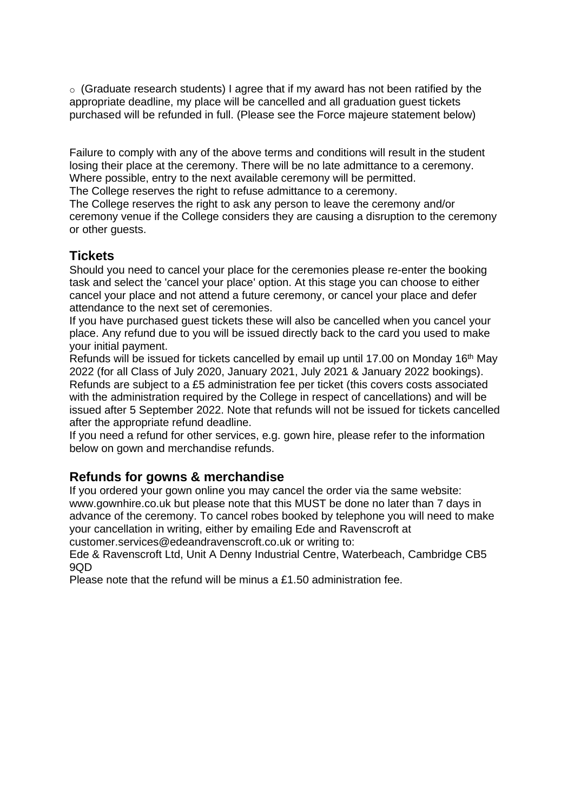$\circ$  (Graduate research students) I agree that if my award has not been ratified by the appropriate deadline, my place will be cancelled and all graduation guest tickets purchased will be refunded in full. (Please see the Force majeure statement below)

Failure to comply with any of the above terms and conditions will result in the student losing their place at the ceremony. There will be no late admittance to a ceremony. Where possible, entry to the next available ceremony will be permitted.

The College reserves the right to refuse admittance to a ceremony.

The College reserves the right to ask any person to leave the ceremony and/or ceremony venue if the College considers they are causing a disruption to the ceremony or other guests.

## **Tickets**

Should you need to cancel your place for the ceremonies please re-enter the booking task and select the 'cancel your place' option. At this stage you can choose to either cancel your place and not attend a future ceremony, or cancel your place and defer attendance to the next set of ceremonies.

If you have purchased guest tickets these will also be cancelled when you cancel your place. Any refund due to you will be issued directly back to the card you used to make your initial payment.

Refunds will be issued for tickets cancelled by email up until 17.00 on Monday 16th May 2022 (for all Class of July 2020, January 2021, July 2021 & January 2022 bookings). Refunds are subject to a £5 administration fee per ticket (this covers costs associated with the administration required by the College in respect of cancellations) and will be issued after 5 September 2022. Note that refunds will not be issued for tickets cancelled after the appropriate refund deadline.

If you need a refund for other services, e.g. gown hire, please refer to the information below on gown and merchandise refunds.

# **Refunds for gowns & merchandise**

If you ordered your gown online you may cancel the order via the same website: www.gownhire.co.uk but please note that this MUST be done no later than 7 days in advance of the ceremony. To cancel robes booked by telephone you will need to make your cancellation in writing, either by emailing Ede and Ravenscroft at customer.services@edeandravenscroft.co.uk or writing to:

Ede & Ravenscroft Ltd, Unit A Denny Industrial Centre, Waterbeach, Cambridge CB5  $9OP$ 

Please note that the refund will be minus a £1.50 administration fee.